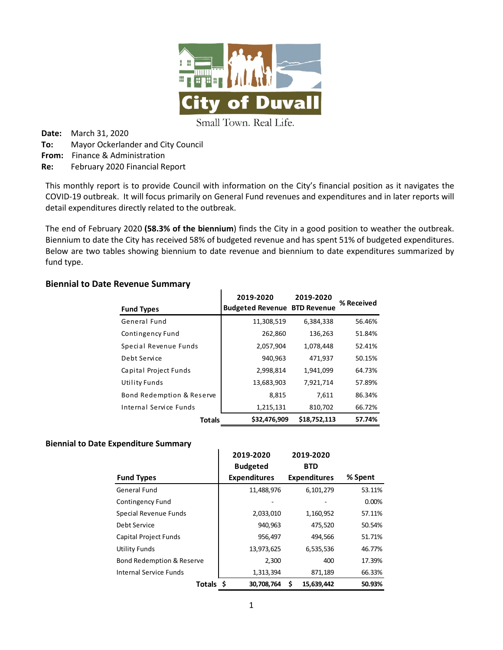

Small Town. Real Life.

**Date:** March 31, 2020 **To:** Mayor Ockerlander and City Council **From:** Finance & Administration **Re:** February 2020 Financial Report

This monthly report is to provide Council with information on the City's financial position as it navigates the COVID-19 outbreak. It will focus primarily on General Fund revenues and expenditures and in later reports will detail expenditures directly related to the outbreak.

The end of February 2020 **(58.3% of the biennium**) finds the City in a good position to weather the outbreak. Biennium to date the City has received 58% of budgeted revenue and has spent 51% of budgeted expenditures. Below are two tables showing biennium to date revenue and biennium to date expenditures summarized by fund type.

#### **Biennial to Date Revenue Summary**

| <b>Fund Types</b>         | 2019-2020<br><b>Budgeted Revenue BTD Revenue</b> | 2019-2020    | % Received |
|---------------------------|--------------------------------------------------|--------------|------------|
| General Fund              | 11,308,519                                       | 6,384,338    | 56.46%     |
| Contingency Fund          | 262,860                                          | 136,263      | 51.84%     |
| Special Revenue Funds     | 2,057,904                                        | 1,078,448    | 52.41%     |
| Debt Service              | 940,963                                          | 471,937      | 50.15%     |
| Capital Project Funds     | 2,998,814                                        | 1,941,099    | 64.73%     |
| <b>Utility Funds</b>      | 13,683,903                                       | 7,921,714    | 57.89%     |
| Bond Redemption & Reserve | 8,815                                            | 7,611        | 86.34%     |
| Internal Service Funds    | 1,215,131                                        | 810,702      | 66.72%     |
| <b>Totals</b>             | \$32,476,909                                     | \$18,752,113 | 57.74%     |

#### **Biennial to Date Expenditure Summary**

|                                      | 2019-2020 |                     |   | 2019-2020           |         |
|--------------------------------------|-----------|---------------------|---|---------------------|---------|
|                                      |           | <b>Budgeted</b>     |   | <b>BTD</b>          |         |
| <b>Fund Types</b>                    |           | <b>Expenditures</b> |   | <b>Expenditures</b> | % Spent |
| General Fund                         |           | 11,488,976          |   | 6,101,279           | 53.11%  |
| Contingency Fund                     |           |                     |   |                     | 0.00%   |
| Special Revenue Funds                |           | 2,033,010           |   | 1,160,952           | 57.11%  |
| Debt Service                         |           | 940,963             |   | 475,520             | 50.54%  |
| Capital Project Funds                |           | 956,497             |   | 494,566             | 51.71%  |
| <b>Utility Funds</b>                 |           | 13,973,625          |   | 6,535,536           | 46.77%  |
| <b>Bond Redemption &amp; Reserve</b> |           | 2,300               |   | 400                 | 17.39%  |
| Internal Service Funds               |           | 1,313,394           |   | 871,189             | 66.33%  |
| Totals \$                            |           | 30,708,764          | S | 15,639,442          | 50.93%  |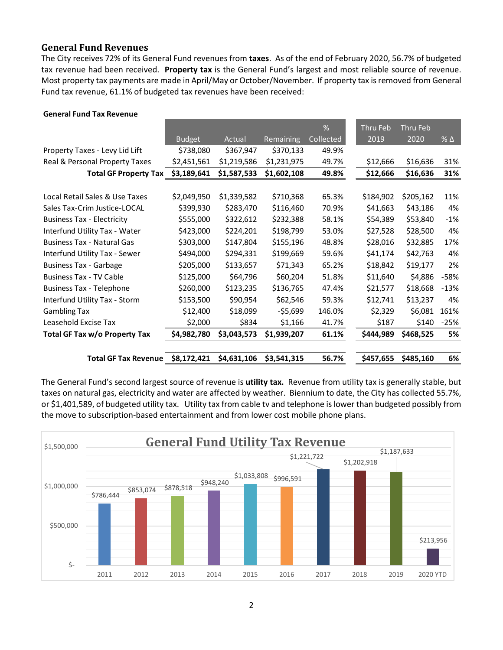## **General Fund Revenues**

The City receives 72% of its General Fund revenues from **taxes**. As of the end of February 2020, 56.7% of budgeted tax revenue had been received. **Property tax** is the General Fund's largest and most reliable source of revenue. Most property tax payments are made in April/May or October/November. If property tax is removed from General Fund tax revenue, 61.1% of budgeted tax revenues have been received:

| <b>Total GF Tax Revenue</b>       | \$8,172,421   | \$4,631,106 | \$3,541,315 | 56.7%          | \$457,655        | \$485,160        | 6%           |
|-----------------------------------|---------------|-------------|-------------|----------------|------------------|------------------|--------------|
| Total GF Tax w/o Property Tax     | \$4,982,780   | \$3,043,573 | \$1,939,207 | 61.1%          | \$444,989        | \$468,525        | 5%           |
| Leasehold Excise Tax              | \$2,000       | \$834       | \$1,166     | 41.7%          | \$187            | \$140            | $-25%$       |
| <b>Gambling Tax</b>               | \$12,400      | \$18,099    | -\$5,699    | 146.0%         | \$2,329          | \$6,081          | 161%         |
| Interfund Utility Tax - Storm     | \$153,500     | \$90,954    | \$62,546    | 59.3%          | \$12,741         | \$13,237         | 4%           |
| <b>Business Tax - Telephone</b>   | \$260,000     | \$123,235   | \$136,765   | 47.4%          | \$21,577         | \$18,668         | $-13%$       |
| <b>Business Tax - TV Cable</b>    | \$125,000     | \$64,796    | \$60,204    | 51.8%          | \$11,640         | \$4,886          | -58%         |
| <b>Business Tax - Garbage</b>     | \$205,000     | \$133,657   | \$71,343    | 65.2%          | \$18,842         | \$19,177         | 2%           |
| Interfund Utility Tax - Sewer     | \$494,000     | \$294,331   | \$199,669   | 59.6%          | \$41,174         | \$42,763         | 4%           |
| <b>Business Tax - Natural Gas</b> | \$303,000     | \$147,804   | \$155,196   | 48.8%          | \$28,016         | \$32,885         | 17%          |
| Interfund Utility Tax - Water     | \$423,000     | \$224,201   | \$198,799   | 53.0%          | \$27,528         | \$28,500         | 4%           |
| <b>Business Tax - Electricity</b> | \$555,000     | \$322,612   | \$232,388   | 58.1%          | \$54,389         | \$53,840         | $-1%$        |
| Sales Tax-Crim Justice-LOCAL      | \$399,930     | \$283,470   | \$116,460   | 70.9%          | \$41,663         | \$43,186         | 4%           |
| Local Retail Sales & Use Taxes    | \$2,049,950   | \$1,339,582 | \$710,368   | 65.3%          | \$184,902        | \$205,162        | 11%          |
| <b>Total GF Property Tax</b>      | \$3,189,641   | \$1,587,533 | \$1,602,108 | 49.8%          | \$12,666         | \$16,636         | 31%          |
| Real & Personal Property Taxes    | \$2,451,561   | \$1,219,586 | \$1,231,975 | 49.7%          | \$12,666         | \$16,636         | 31%          |
| Property Taxes - Levy Lid Lift    | \$738,080     | \$367,947   | \$370,133   | 49.9%          |                  |                  |              |
|                                   | <b>Budget</b> | Actual      | Remaining   | %<br>Collected | Thru Feb<br>2019 | Thru Feb<br>2020 | $%$ $\Delta$ |
|                                   |               |             |             |                |                  |                  |              |

#### **General Fund Tax Revenue**

The General Fund's second largest source of revenue is **utility tax.** Revenue from utility tax is generally stable, but taxes on natural gas, electricity and water are affected by weather. Biennium to date, the City has collected 55.7%, or \$1,401,589, of budgeted utility tax. Utility tax from cable tv and telephone is lower than budgeted possibly from the move to subscription-based entertainment and from lower cost mobile phone plans.

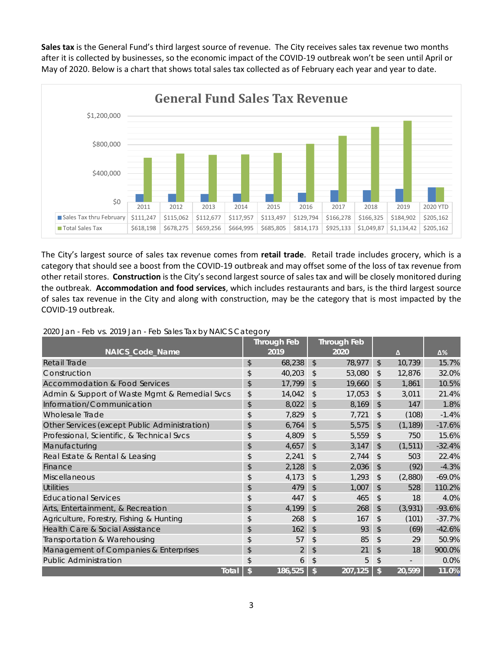**Sales tax** is the General Fund's third largest source of revenue. The City receives sales tax revenue two months after it is collected by businesses, so the economic impact of the COVID-19 outbreak won't be seen until April or May of 2020. Below is a chart that shows total sales tax collected as of February each year and year to date.



The City's largest source of sales tax revenue comes from **retail trade**. Retail trade includes grocery, which is a category that should see a boost from the COVID-19 outbreak and may offset some of the loss of tax revenue from other retail stores. **Construction** is the City's second largest source of sales tax and will be closely monitored during the outbreak. **Accommodation and food services**, which includes restaurants and bars, is the third largest source of sales tax revenue in the City and along with construction, may be the category that is most impacted by the COVID-19 outbreak.

2020 Jan - Feb vs. 2019 Jan - Feb Sales Tax by NAICS Category

|                                               | <b>Through Feb</b> |                |              | <b>Through Feb</b> |                |          |          |
|-----------------------------------------------|--------------------|----------------|--------------|--------------------|----------------|----------|----------|
| NAICS_Code_Name                               |                    | 2019           |              | 2020               |                | Δ        | Δ%       |
| Retail Trade                                  | \$                 | 68,238         | \$           | 78,977             | $\mathfrak{L}$ | 10,739   | 15.7%    |
| Construction                                  | \$                 | 40,203         | \$           | 53,080             | \$             | 12,876   | 32.0%    |
| <b>Accommodation &amp; Food Services</b>      | \$                 | 17,799         | \$           | 19,660             | \$             | 1,861    | 10.5%    |
| Admin & Support of Waste Mgmt & Remedial Svcs | \$                 | 14,042         | \$           | 17,053             | \$             | 3,011    | 21.4%    |
| Information/Communication                     | \$                 | 8,022          | $\mathbb{S}$ | 8,169              | $\mathfrak{D}$ | 147      | 1.8%     |
| Wholesale Trade                               | \$                 | 7,829          | \$           | 7,721              | \$             | (108)    | $-1.4%$  |
| Other Services (except Public Administration) | \$                 | 6,764          | \$           | 5,575              | \$             | (1, 189) | $-17.6%$ |
| Professional, Scientific, & Technical Svcs    | \$                 | 4,809          | \$           | 5,559              | \$             | 750      | 15.6%    |
| Manufacturing                                 | \$                 | 4,657          | \$           | 3,147              | \$             | (1, 511) | $-32.4%$ |
| Real Estate & Rental & Leasing                | \$                 | 2,241          | \$           | 2,744              | \$             | 503      | 22.4%    |
| Finance                                       | \$                 | 2,128          | \$           | 2,036              | \$             | (92)     | $-4.3%$  |
| <b>Miscellaneous</b>                          | \$                 | 4,173          | \$           | 1,293              | \$             | (2,880)  | $-69.0%$ |
| <b>Utilities</b>                              | \$                 | 479            | \$           | 1,007              | \$             | 528      | 110.2%   |
| <b>Educational Services</b>                   | \$                 | 447            | \$           | 465                | \$             | 18       | 4.0%     |
| Arts, Entertainment, & Recreation             | \$                 | 4,199          | \$           | 268                | \$             | (3,931)  | $-93.6%$ |
| Agriculture, Forestry, Fishing & Hunting      | \$                 | 268            | \$           | 167                | \$             | (101)    | $-37.7%$ |
| Health Care & Social Assistance               | \$                 | 162            | \$           | 93                 | \$             | (69)     | $-42.6%$ |
| Transportation & Warehousing                  | \$                 | 57             | \$           | 85                 | \$             | 29       | 50.9%    |
| Management of Companies & Enterprises         | \$                 | $\overline{2}$ | \$           | 21                 | \$             | 18       | 900.0%   |
| <b>Public Administration</b>                  | \$                 | 6              | \$           | 5                  | \$             |          | 0.0%     |
| <b>Total</b>                                  | \$                 | 186,525        | \$           | 207,125            | \$             | 20,599   | 11.0%    |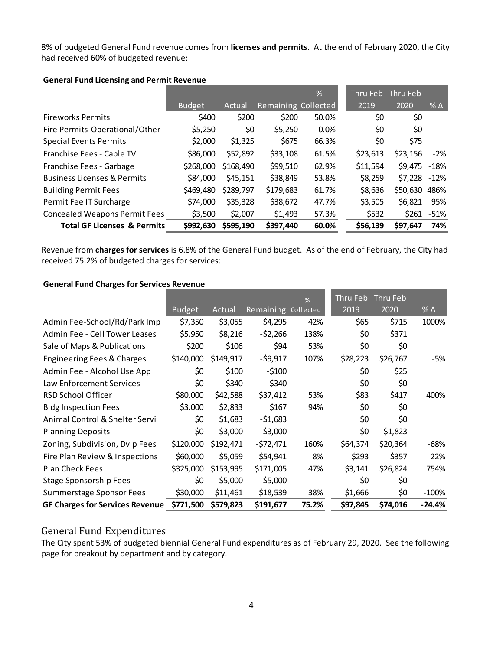8% of budgeted General Fund revenue comes from **licenses and permits**. At the end of February 2020, the City had received 60% of budgeted revenue:

|                                        |               |           |                     | $\overline{\%}$ | Thru Feb Thru Feb |               |               |
|----------------------------------------|---------------|-----------|---------------------|-----------------|-------------------|---------------|---------------|
|                                        | <b>Budget</b> | Actual    | Remaining Collected |                 | 2019              | 2020          | $% \Delta$    |
| <b>Fireworks Permits</b>               | \$400         | \$200     | \$200               | 50.0%           | \$0               | \$0           |               |
| Fire Permits-Operational/Other         | \$5,250       | \$0       | \$5,250             | 0.0%            | \$0               | \$0           |               |
| <b>Special Events Permits</b>          | \$2,000       | \$1,325   | \$675               | 66.3%           | \$0               | \$75          |               |
| Franchise Fees - Cable TV              | \$86,000      | \$52,892  | \$33,108            | 61.5%           | \$23,613          | \$23,156      | $-2\%$        |
| Franchise Fees - Garbage               | \$268,000     | \$168,490 | \$99,510            | 62.9%           | \$11,594          | \$9,475 -18%  |               |
| <b>Business Licenses &amp; Permits</b> | \$84,000      | \$45,151  | \$38,849            | 53.8%           | \$8,259           | \$7,228 -12%  |               |
| <b>Building Permit Fees</b>            | \$469,480     | \$289,797 | \$179,683           | 61.7%           | \$8,636           | \$50,630 486% |               |
| Permit Fee IT Surcharge                | \$74,000      | \$35,328  | \$38,672            | 47.7%           | \$3,505           | \$6,821       | 95%           |
| <b>Concealed Weapons Permit Fees</b>   | \$3,500       | \$2,007   | \$1,493             | 57.3%           | \$532             |               | $$261 - 51\%$ |
| <b>Total GF Licenses &amp; Permits</b> | \$992,630     | \$595,190 | \$397,440           | 60.0%           | \$56,139          | \$97,647      | 74%           |

#### **General Fund Licensing and Permit Revenue**

Revenue from **charges for services** is 6.8% of the General Fund budget. As of the end of February, the City had received 75.2% of budgeted charges for services:

#### **General Fund Charges for Services Revenue**

|                                        |               |           |            | %         | Thru Feb | Thru Feb  |            |
|----------------------------------------|---------------|-----------|------------|-----------|----------|-----------|------------|
|                                        | <b>Budget</b> | Actual    | Remaining  | Collected | 2019     | 2020      | % $\Delta$ |
| Admin Fee-School/Rd/Park Imp           | \$7,350       | \$3,055   | \$4,295    | 42%       | \$65     | \$715     | 1000%      |
| Admin Fee - Cell Tower Leases          | \$5,950       | \$8,216   | $-52,266$  | 138%      | \$0      | \$371     |            |
| Sale of Maps & Publications            | \$200         | \$106     | \$94       | 53%       | \$0      | \$0       |            |
| Engineering Fees & Charges             | \$140,000     | \$149,917 | $-59,917$  | 107%      | \$28,223 | \$26,767  | -5%        |
| Admin Fee - Alcohol Use App            | \$0           | \$100     | $-5100$    |           | \$0      | \$25      |            |
| Law Enforcement Services               | \$0           | \$340     | $-$ \$340  |           | \$0      | \$0       |            |
| RSD School Officer                     | \$80,000      | \$42,588  | \$37,412   | 53%       | \$83     | \$417     | 400%       |
| <b>Bldg Inspection Fees</b>            | \$3,000       | \$2,833   | \$167      | 94%       | \$0      | \$0       |            |
| Animal Control & Shelter Servi         | \$0           | \$1,683   | $-51,683$  |           | \$0      | \$0       |            |
| <b>Planning Deposits</b>               | \$0           | \$3,000   | $-53,000$  |           | \$0      | $-51,823$ |            |
| Zoning, Subdivision, Dvlp Fees         | \$120,000     | \$192,471 | $-572,471$ | 160%      | \$64,374 | \$20,364  | -68%       |
| Fire Plan Review & Inspections         | \$60,000      | \$5,059   | \$54,941   | 8%        | \$293    | \$357     | 22%        |
| <b>Plan Check Fees</b>                 | \$325,000     | \$153,995 | \$171,005  | 47%       | \$3,141  | \$26,824  | 754%       |
| <b>Stage Sponsorship Fees</b>          | \$0           | \$5,000   | $-55,000$  |           | \$0      | \$0       |            |
| Summerstage Sponsor Fees               | \$30,000      | \$11,461  | \$18,539   | 38%       | \$1,666  | \$0       | $-100%$    |
| <b>GF Charges for Services Revenue</b> | \$771,500     | \$579,823 | \$191,677  | 75.2%     | \$97,845 | \$74,016  | $-24.4%$   |

### General Fund Expenditures

The City spent 53% of budgeted biennial General Fund expenditures as of February 29, 2020. See the following page for breakout by department and by category.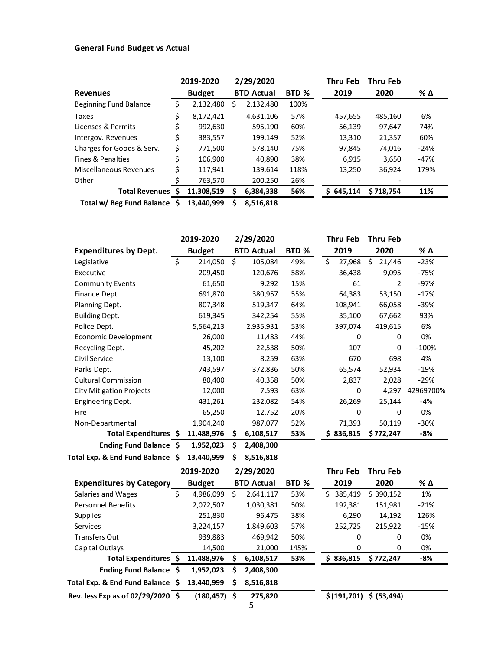## **General Fund Budget vs Actual**

|                               |    | 2019-2020     |   | 2/29/2020         |       | Thru Feb  | <b>Thru Feb</b> |        |
|-------------------------------|----|---------------|---|-------------------|-------|-----------|-----------------|--------|
| <b>Revenues</b>               |    | <b>Budget</b> |   | <b>BTD Actual</b> | BTD % | 2019      | 2020            | % Δ    |
| <b>Beginning Fund Balance</b> | Ś  | 2,132,480     |   | 2,132,480         | 100%  |           |                 |        |
| Taxes                         | \$ | 8,172,421     |   | 4,631,106         | 57%   | 457,655   | 485,160         | 6%     |
| Licenses & Permits            | \$ | 992,630       |   | 595,190           | 60%   | 56,139    | 97.647          | 74%    |
| Intergov. Revenues            | \$ | 383,557       |   | 199,149           | 52%   | 13.310    | 21.357          | 60%    |
| Charges for Goods & Serv.     | \$ | 771,500       |   | 578,140           | 75%   | 97,845    | 74,016          | $-24%$ |
| Fines & Penalties             | \$ | 106,900       |   | 40,890            | 38%   | 6,915     | 3,650           | $-47%$ |
| Miscellaneous Revenues        | \$ | 117.941       |   | 139.614           | 118%  | 13.250    | 36,924          | 179%   |
| Other                         |    | 763,570       |   | 200,250           | 26%   |           |                 |        |
| Total Revenues \$             |    | 11,308,519    |   | 6,384,338         | 56%   | \$645.114 | \$718,754       | 11%    |
| Total w/ Rog Eund Ralanco     | ¢  | 12.440.000    | ċ | <b>0 E16 010</b>  |       |           |                 |        |

**Total w/ Beg Fund Balance \$ 13,440,999 \$ 8,516,818**

|                                  | 2019-2020     |     | 2/29/2020         |      | Thru Feb |          | <b>Thru Feb</b> |           |
|----------------------------------|---------------|-----|-------------------|------|----------|----------|-----------------|-----------|
| <b>Expenditures by Dept.</b>     | <b>Budget</b> |     | <b>BTD Actual</b> | BTD% |          | 2019     | 2020            | % Δ       |
| Legislative                      | \$<br>214,050 | Ś.  | 105,084           | 49%  | \$       | 27,968   | Ś.<br>21,446    | $-23%$    |
| Executive                        | 209,450       |     | 120,676           | 58%  |          | 36,438   | 9,095           | $-75%$    |
| <b>Community Events</b>          | 61,650        |     | 9,292             | 15%  |          | 61       | 2               | $-97%$    |
| Finance Dept.                    | 691,870       |     | 380,957           | 55%  |          | 64,383   | 53,150          | $-17%$    |
| Planning Dept.                   | 807,348       |     | 519,347           | 64%  |          | 108,941  | 66,058          | -39%      |
| <b>Building Dept.</b>            | 619,345       |     | 342,254           | 55%  |          | 35,100   | 67,662          | 93%       |
| Police Dept.                     | 5,564,213     |     | 2,935,931         | 53%  |          | 397,074  | 419,615         | 6%        |
| Economic Development             | 26,000        |     | 11,483            | 44%  |          | 0        | 0               | 0%        |
| Recycling Dept.                  | 45,202        |     | 22,538            | 50%  |          | 107      | 0               | $-100%$   |
| Civil Service                    | 13,100        |     | 8,259             | 63%  |          | 670      | 698             | 4%        |
| Parks Dept.                      | 743,597       |     | 372,836           | 50%  |          | 65,574   | 52,934          | $-19%$    |
| <b>Cultural Commission</b>       | 80,400        |     | 40,358            | 50%  |          | 2,837    | 2,028           | $-29%$    |
| <b>City Mitigation Projects</b>  | 12,000        |     | 7,593             | 63%  |          | 0        | 4,297           | 42969700% |
| <b>Engineering Dept.</b>         | 431,261       |     | 232,082           | 54%  |          | 26,269   | 25,144          | -4%       |
| Fire                             | 65,250        |     | 12,752            | 20%  |          | 0        | 0               | 0%        |
| Non-Departmental                 | 1,904,240     |     | 987,077           | 52%  |          | 71,393   | 50,119          | $-30%$    |
| Total Expenditures \$            | 11,488,976    | \$  | 6,108,517         | 53%  |          | \$36,815 | \$772,247       | -8%       |
| Ending Fund Balance \$           | 1,952,023     | \$. | 2,408,300         |      |          |          |                 |           |
| Total Exp. & End Fund Balance \$ | 13,440,999    | \$. | 8,516,818         |      |          |          |                 |           |

|                                     | 2019-2020       |    | 2/29/2020         |                  | Thru Feb |             | <b>Thru Feb</b> |        |
|-------------------------------------|-----------------|----|-------------------|------------------|----------|-------------|-----------------|--------|
| <b>Expenditures by Category</b>     | <b>Budget</b>   |    | <b>BTD Actual</b> | BTD <sub>%</sub> | 2019     |             | 2020            | % Δ    |
| Salaries and Wages                  | \$<br>4,986,099 | \$ | 2,641,117         | 53%              | S.       | 385,419     | \$390,152       | 1%     |
| <b>Personnel Benefits</b>           | 2,072,507       |    | 1,030,381         | 50%              |          | 192,381     | 151,981         | $-21%$ |
| <b>Supplies</b>                     | 251,830         |    | 96.475            | 38%              |          | 6,290       | 14,192          | 126%   |
| <b>Services</b>                     | 3,224,157       |    | 1,849,603         | 57%              |          | 252,725     | 215,922         | $-15%$ |
| <b>Transfers Out</b>                | 939,883         |    | 469,942           | 50%              |          | 0           | 0               | 0%     |
| Capital Outlays                     | 14,500          |    | 21,000            | 145%             |          | $\Omega$    | 0               | 0%     |
| Total Expenditures \$               | 11,488,976      | S  | 6,108,517         | 53%              | s        | 836,815     | \$772,247       | -8%    |
| Ending Fund Balance \$              | 1,952,023       | s  | 2,408,300         |                  |          |             |                 |        |
| Total Exp. & End Fund Balance \$    | 13,440,999      | \$ | 8,516,818         |                  |          |             |                 |        |
| Rev. less Exp as of $02/29/2020$ \$ | $(180, 457)$ \$ |    | 275,820<br>5      |                  |          | \$(191,701) | \$ (53, 494)    |        |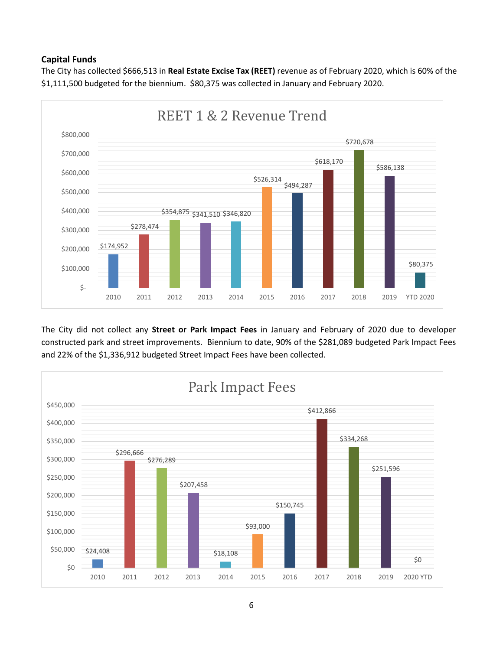## **Capital Funds**

The City has collected \$666,513 in **Real Estate Excise Tax (REET)** revenue as of February 2020, which is 60% of the \$1,111,500 budgeted for the biennium. \$80,375 was collected in January and February 2020.



The City did not collect any **Street or Park Impact Fees** in January and February of 2020 due to developer constructed park and street improvements. Biennium to date, 90% of the \$281,089 budgeted Park Impact Fees and 22% of the \$1,336,912 budgeted Street Impact Fees have been collected.



6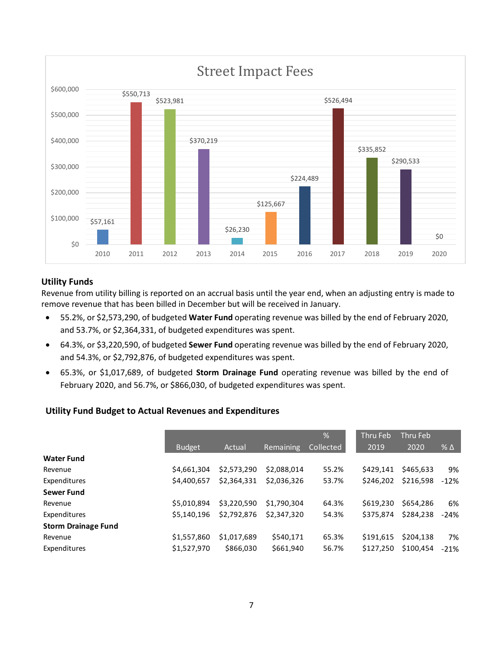

#### **Utility Funds**

Revenue from utility billing is reported on an accrual basis until the year end, when an adjusting entry is made to remove revenue that has been billed in December but will be received in January.

- 55.2%, or \$2,573,290, of budgeted **Water Fund** operating revenue was billed by the end of February 2020, and 53.7%, or \$2,364,331, of budgeted expenditures was spent.
- 64.3%, or \$3,220,590, of budgeted **Sewer Fund** operating revenue was billed by the end of February 2020, and 54.3%, or \$2,792,876, of budgeted expenditures was spent.
- 65.3%, or \$1,017,689, of budgeted **Storm Drainage Fund** operating revenue was billed by the end of February 2020, and 56.7%, or \$866,030, of budgeted expenditures was spent.

### **Utility Fund Budget to Actual Revenues and Expenditures**

|                            |               |             |             | %         | <b>Thru Feb</b> | Thru Feb  |              |
|----------------------------|---------------|-------------|-------------|-----------|-----------------|-----------|--------------|
|                            | <b>Budget</b> | Actual      | Remaining   | Collected | 2019            | 2020      | $%$ $\Delta$ |
| <b>Water Fund</b>          |               |             |             |           |                 |           |              |
| Revenue                    | \$4,661,304   | \$2,573,290 | \$2.088.014 | 55.2%     | \$429.141       | \$465.633 |              |
| Expenditures               | \$4,400,657   | \$2,364,331 | \$2,036,326 | 53.7%     | \$246.202       | \$216,598 | $-12%$       |
| <b>Sewer Fund</b>          |               |             |             |           |                 |           |              |
| Revenue                    | \$5.010.894   | \$3,220,590 | \$1,790,304 | 64.3%     | \$619,230       | \$654,286 |              |
| Expenditures               | \$5,140,196   | \$2,792,876 | \$2.347.320 | 54.3%     | \$375.874       | \$284.238 | $-24%$       |
| <b>Storm Drainage Fund</b> |               |             |             |           |                 |           |              |
| Revenue                    | \$1,557,860   | \$1,017,689 | \$540,171   | 65.3%     | \$191.615       | \$204.138 |              |
| Expenditures               | \$1,527,970   | \$866,030   | \$661,940   | 56.7%     | \$127.250       | \$100.454 | $-21%$       |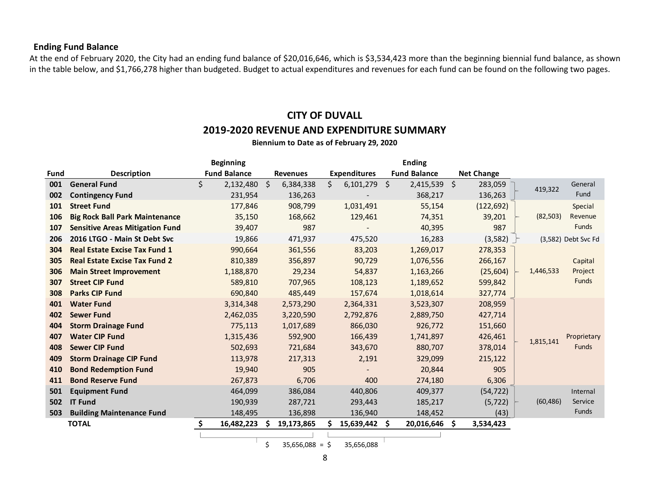### **Ending Fund Balance**

At the end of February 2020, the City had an ending fund balance of \$20,016,646, which is \$3,534,423 more than the beginning biennial fund balance, as shown in the table below, and \$1,766,278 higher than budgeted. Budget to actual expenditures and revenues for each fund can be found on the following two pages.

## **CITY OF DUVALL 2019-2020 REVENUE AND EXPENDITURE SUMMARY**

**Biennium to Date as of February 29, 2020**

|             |                                        | <b>Beginning</b>     |   |                 |     |                     |   | <b>Ending</b>       |                   |           |                     |
|-------------|----------------------------------------|----------------------|---|-----------------|-----|---------------------|---|---------------------|-------------------|-----------|---------------------|
| <b>Fund</b> | <b>Description</b>                     | <b>Fund Balance</b>  |   | <b>Revenues</b> |     | <b>Expenditures</b> |   | <b>Fund Balance</b> | <b>Net Change</b> |           |                     |
| 001         | <b>General Fund</b>                    | \$<br>$2,132,480$ \$ |   | 6,384,338       | \$. | $6,101,279$ \$      |   | 2,415,539 \$        | 283,059           | 419,322   | General             |
| 002         | <b>Contingency Fund</b>                | 231,954              |   | 136,263         |     |                     |   | 368,217             | 136,263           |           | Fund                |
| 101         | <b>Street Fund</b>                     | 177,846              |   | 908,799         |     | 1,031,491           |   | 55,154              | (122, 692)        |           | Special             |
| 106         | <b>Big Rock Ball Park Maintenance</b>  | 35,150               |   | 168,662         |     | 129,461             |   | 74,351              | 39,201            | (82, 503) | Revenue             |
| 107         | <b>Sensitive Areas Mitigation Fund</b> | 39,407               |   | 987             |     |                     |   | 40,395              | 987               |           | <b>Funds</b>        |
| 206         | 2016 LTGO - Main St Debt Svc           | 19,866               |   | 471,937         |     | 475,520             |   | 16,283              | (3, 582)          |           | (3,582) Debt Svc Fd |
| 304         | <b>Real Estate Excise Tax Fund 1</b>   | 990,664              |   | 361,556         |     | 83,203              |   | 1,269,017           | 278,353           |           |                     |
| 305         | <b>Real Estate Excise Tax Fund 2</b>   | 810,389              |   | 356,897         |     | 90,729              |   | 1,076,556           | 266,167           |           | Capital             |
| 306         | <b>Main Street Improvement</b>         | 1,188,870            |   | 29,234          |     | 54,837              |   | 1,163,266           | (25, 604)         | 1,446,533 | Project             |
| 307         | <b>Street CIP Fund</b>                 | 589,810              |   | 707,965         |     | 108,123             |   | 1,189,652           | 599,842           |           | <b>Funds</b>        |
| 308         | <b>Parks CIP Fund</b>                  | 690,840              |   | 485,449         |     | 157,674             |   | 1,018,614           | 327,774           |           |                     |
| 401         | <b>Water Fund</b>                      | 3,314,348            |   | 2,573,290       |     | 2,364,331           |   | 3,523,307           | 208,959           |           |                     |
| 402         | <b>Sewer Fund</b>                      | 2,462,035            |   | 3,220,590       |     | 2,792,876           |   | 2,889,750           | 427,714           |           |                     |
| 404         | <b>Storm Drainage Fund</b>             | 775,113              |   | 1,017,689       |     | 866,030             |   | 926,772             | 151,660           |           |                     |
| 407         | <b>Water CIP Fund</b>                  | 1,315,436            |   | 592,900         |     | 166,439             |   | 1,741,897           | 426,461           | 1,815,141 | Proprietary         |
| 408         | <b>Sewer CIP Fund</b>                  | 502,693              |   | 721,684         |     | 343,670             |   | 880,707             | 378,014           |           | <b>Funds</b>        |
| 409         | <b>Storm Drainage CIP Fund</b>         | 113,978              |   | 217,313         |     | 2,191               |   | 329,099             | 215,122           |           |                     |
| 410         | <b>Bond Redemption Fund</b>            | 19,940               |   | 905             |     |                     |   | 20,844              | 905               |           |                     |
| 411         | <b>Bond Reserve Fund</b>               | 267,873              |   | 6,706           |     | 400                 |   | 274,180             | 6,306             |           |                     |
| 501         | <b>Equipment Fund</b>                  | 464,099              |   | 386,084         |     | 440,806             |   | 409,377             | (54, 722)         |           | Internal            |
| 502         | <b>IT Fund</b>                         | 190,939              |   | 287,721         |     | 293,443             |   | 185,217             | (5, 722)          | (60, 486) | Service             |
| 503         | <b>Building Maintenance Fund</b>       | 148,495              |   | 136,898         |     | 136,940             |   | 148,452             | (43)              |           | <b>Funds</b>        |
|             | <b>TOTAL</b>                           | \$<br>16,482,223     | S | 19,173,865      |     | 15,639,442          | S | 20,016,646          | \$<br>3,534,423   |           |                     |
|             |                                        |                      |   |                 |     |                     |   |                     |                   |           |                     |

 $$35,656,088 = $35,656,088$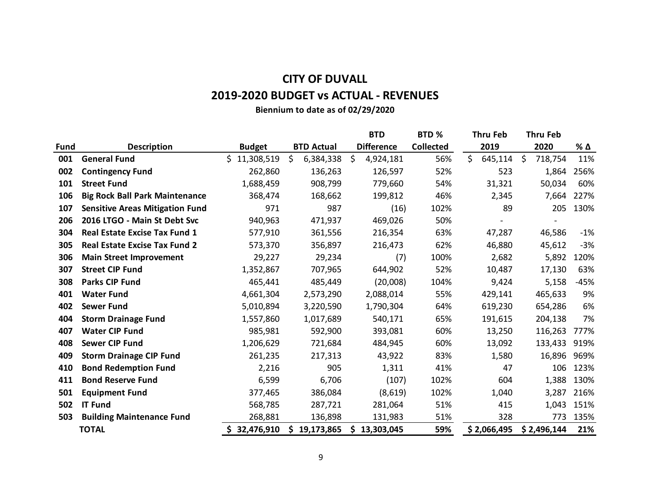# **CITY OF DUVALL 2019-2020 BUDGET vs ACTUAL - REVENUES**

**Biennium to date as of 02/29/2020**

|             |                                        |                  |     |                   |    | <b>BTD</b>        | BTD %            |    | <b>Thru Feb</b> |     | <b>Thru Feb</b> |        |
|-------------|----------------------------------------|------------------|-----|-------------------|----|-------------------|------------------|----|-----------------|-----|-----------------|--------|
| <b>Fund</b> | <b>Description</b>                     | <b>Budget</b>    |     | <b>BTD Actual</b> |    | <b>Difference</b> | <b>Collected</b> |    | 2019            |     | 2020            | % Δ    |
| 001         | <b>General Fund</b>                    | Ś.<br>11,308,519 | \$  | 6,384,338         | \$ | 4,924,181         | 56%              | Ś. | 645,114         | -\$ | 718,754         | 11%    |
| 002         | <b>Contingency Fund</b>                | 262,860          |     | 136,263           |    | 126,597           | 52%              |    | 523             |     | 1,864           | 256%   |
| 101         | <b>Street Fund</b>                     | 1,688,459        |     | 908,799           |    | 779,660           | 54%              |    | 31,321          |     | 50,034          | 60%    |
| 106         | <b>Big Rock Ball Park Maintenance</b>  | 368,474          |     | 168,662           |    | 199,812           | 46%              |    | 2,345           |     | 7,664           | 227%   |
| 107         | <b>Sensitive Areas Mitigation Fund</b> | 971              |     | 987               |    | (16)              | 102%             |    | 89              |     | 205             | 130%   |
| 206         | 2016 LTGO - Main St Debt Svc           | 940,963          |     | 471,937           |    | 469,026           | 50%              |    |                 |     |                 |        |
| 304         | <b>Real Estate Excise Tax Fund 1</b>   | 577,910          |     | 361,556           |    | 216,354           | 63%              |    | 47,287          |     | 46,586          | $-1%$  |
| 305         | <b>Real Estate Excise Tax Fund 2</b>   | 573,370          |     | 356,897           |    | 216,473           | 62%              |    | 46,880          |     | 45,612          | $-3%$  |
| 306         | <b>Main Street Improvement</b>         | 29,227           |     | 29,234            |    | (7)               | 100%             |    | 2,682           |     | 5,892           | 120%   |
| 307         | <b>Street CIP Fund</b>                 | 1,352,867        |     | 707,965           |    | 644,902           | 52%              |    | 10,487          |     | 17,130          | 63%    |
| 308         | <b>Parks CIP Fund</b>                  | 465,441          |     | 485,449           |    | (20,008)          | 104%             |    | 9,424           |     | 5,158           | $-45%$ |
| 401         | <b>Water Fund</b>                      | 4,661,304        |     | 2,573,290         |    | 2,088,014         | 55%              |    | 429,141         |     | 465,633         | 9%     |
| 402         | <b>Sewer Fund</b>                      | 5,010,894        |     | 3,220,590         |    | 1,790,304         | 64%              |    | 619,230         |     | 654,286         | 6%     |
| 404         | <b>Storm Drainage Fund</b>             | 1,557,860        |     | 1,017,689         |    | 540,171           | 65%              |    | 191,615         |     | 204,138         | 7%     |
| 407         | <b>Water CIP Fund</b>                  | 985,981          |     | 592,900           |    | 393,081           | 60%              |    | 13,250          |     | 116,263         | 777%   |
| 408         | <b>Sewer CIP Fund</b>                  | 1,206,629        |     | 721,684           |    | 484,945           | 60%              |    | 13,092          |     | 133,433         | 919%   |
| 409         | <b>Storm Drainage CIP Fund</b>         | 261,235          |     | 217,313           |    | 43,922            | 83%              |    | 1,580           |     | 16,896          | 969%   |
| 410         | <b>Bond Redemption Fund</b>            | 2,216            |     | 905               |    | 1,311             | 41%              |    | 47              |     | 106             | 123%   |
| 411         | <b>Bond Reserve Fund</b>               | 6,599            |     | 6,706             |    | (107)             | 102%             |    | 604             |     | 1,388           | 130%   |
| 501         | <b>Equipment Fund</b>                  | 377,465          |     | 386,084           |    | (8,619)           | 102%             |    | 1,040           |     | 3,287           | 216%   |
| 502         | <b>IT Fund</b>                         | 568,785          |     | 287,721           |    | 281,064           | 51%              |    | 415             |     | 1,043           | 151%   |
| 503         | <b>Building Maintenance Fund</b>       | 268,881          |     | 136,898           |    | 131,983           | 51%              |    | 328             |     | 773             | 135%   |
|             | <b>TOTAL</b>                           | 32,476,910       | \$. | 19,173,865        | S. | 13,303,045        | 59%              |    | \$2,066,495     |     | \$2,496,144     | 21%    |